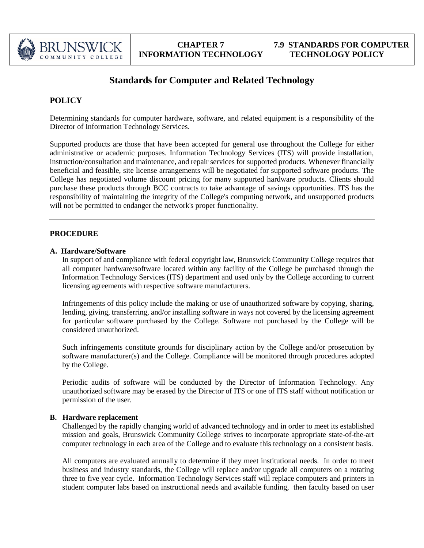

# **Standards for Computer and Related Technology**

## **POLICY**

Determining standards for computer hardware, software, and related equipment is a responsibility of the Director of Information Technology Services.

Supported products are those that have been accepted for general use throughout the College for either administrative or academic purposes. Information Technology Services (ITS) will provide installation, instruction/consultation and maintenance, and repair services for supported products. Whenever financially beneficial and feasible, site license arrangements will be negotiated for supported software products. The College has negotiated volume discount pricing for many supported hardware products. Clients should purchase these products through BCC contracts to take advantage of savings opportunities. ITS has the responsibility of maintaining the integrity of the College's computing network, and unsupported products will not be permitted to endanger the network's proper functionality.

### **PROCEDURE**

#### **A. Hardware/Software**

In support of and compliance with federal copyright law, Brunswick Community College requires that all computer hardware/software located within any facility of the College be purchased through the Information Technology Services (ITS) department and used only by the College according to current licensing agreements with respective software manufacturers.

Infringements of this policy include the making or use of unauthorized software by copying, sharing, lending, giving, transferring, and/or installing software in ways not covered by the licensing agreement for particular software purchased by the College. Software not purchased by the College will be considered unauthorized.

Such infringements constitute grounds for disciplinary action by the College and/or prosecution by software manufacturer(s) and the College. Compliance will be monitored through procedures adopted by the College.

Periodic audits of software will be conducted by the Director of Information Technology. Any unauthorized software may be erased by the Director of ITS or one of ITS staff without notification or permission of the user.

#### **B. Hardware replacement**

Challenged by the rapidly changing world of advanced technology and in order to meet its established mission and goals, Brunswick Community College strives to incorporate appropriate state-of-the-art computer technology in each area of the College and to evaluate this technology on a consistent basis.

All computers are evaluated annually to determine if they meet institutional needs. In order to meet business and industry standards, the College will replace and/or upgrade all computers on a rotating three to five year cycle. Information Technology Services staff will replace computers and printers in student computer labs based on instructional needs and available funding, then faculty based on user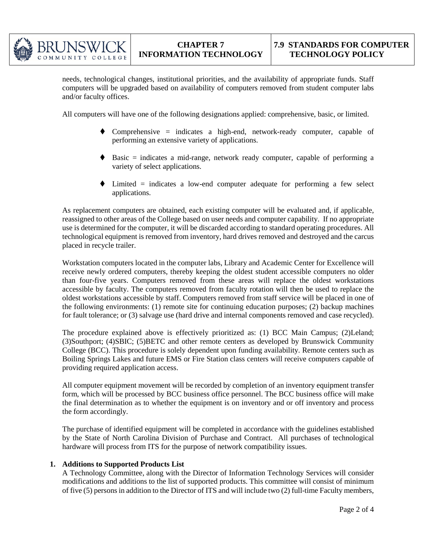

needs, technological changes, institutional priorities, and the availability of appropriate funds. Staff computers will be upgraded based on availability of computers removed from student computer labs and/or faculty offices.

All computers will have one of the following designations applied: comprehensive, basic, or limited.

- $\blacklozenge$  Comprehensive = indicates a high-end, network-ready computer, capable of performing an extensive variety of applications.
- $\blacklozenge$  Basic = indicates a mid-range, network ready computer, capable of performing a variety of select applications.
- $\blacklozenge$  Limited = indicates a low-end computer adequate for performing a few select applications.

As replacement computers are obtained, each existing computer will be evaluated and, if applicable, reassigned to other areas of the College based on user needs and computer capability. If no appropriate use is determined for the computer, it will be discarded according to standard operating procedures. All technological equipment is removed from inventory, hard drives removed and destroyed and the carcus placed in recycle trailer.

Workstation computers located in the computer labs, Library and Academic Center for Excellence will receive newly ordered computers, thereby keeping the oldest student accessible computers no older than four-five years. Computers removed from these areas will replace the oldest workstations accessible by faculty. The computers removed from faculty rotation will then be used to replace the oldest workstations accessible by staff. Computers removed from staff service will be placed in one of the following environments: (1) remote site for continuing education purposes; (2) backup machines for fault tolerance; or (3) salvage use (hard drive and internal components removed and case recycled).

The procedure explained above is effectively prioritized as: (1) BCC Main Campus; (2)Leland; (3)Southport; (4)SBIC; (5)BETC and other remote centers as developed by Brunswick Community College (BCC). This procedure is solely dependent upon funding availability. Remote centers such as Boiling Springs Lakes and future EMS or Fire Station class centers will receive computers capable of providing required application access.

All computer equipment movement will be recorded by completion of an inventory equipment transfer form, which will be processed by BCC business office personnel. The BCC business office will make the final determination as to whether the equipment is on inventory and or off inventory and process the form accordingly.

The purchase of identified equipment will be completed in accordance with the guidelines established by the State of North Carolina Division of Purchase and Contract. All purchases of technological hardware will process from ITS for the purpose of network compatibility issues.

#### **1. Additions to Supported Products List**

A Technology Committee, along with the Director of Information Technology Services will consider modifications and additions to the list of supported products. This committee will consist of minimum of five (5) persons in addition to the Director of ITS and will include two (2) full-time Faculty members,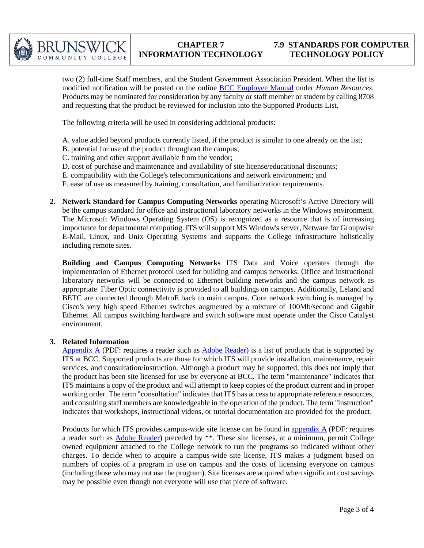

two (2) full-time Staff members, and the Student Government Association President. When the list is modified notification will be posted on the online BCC Employee Manual under *Human Resources*. Products may be nominated for consideration by any faculty or staff member or student by calling 8708 and requesting that the product be reviewed for inclusion into the Supported Products List.

The following criteria will be used in considering additional products:

- A. value added beyond products currently listed, if the product is similar to one already on the list;
- B. potential for use of the product throughout the campus;
- C. training and other support available from the vendor;
- D. cost of purchase and maintenance and availability of site license/educational discounts;
- E. compatibility with the College's telecommunications and network environment; and
- F. ease of use as measured by training, consultation, and familiarization requirements.
- **2. Network Standard for Campus Computing Networks** operating Microsoft's Active Directory will be the campus standard for office and instructional laboratory networks in the Windows environment. The Microsoft Windows Operating System (OS) is recognized as a resource that is of increasing importance for departmental computing. ITS will support MS Window's server, Netware for Groupwise E-Mail, Linux, and Unix Operating Systems and supports the College infrastructure holistically including remote sites.

**Building and Campus Computing Networks** ITS Data and Voice operates through the implementation of Ethernet protocol used for building and campus networks. Office and instructional laboratory networks will be connected to Ethernet building networks and the campus network as appropriate. Fiber Optic connectivity is provided to all buildings on campus. Additionally, Leland and BETC are connected through MetroE back to main campus. Core network switching is managed by Cisco's very high speed Ethernet switches augmented by a mixture of 100Mb/second and Gigabit Ethernet. All campus switching hardware and switch software must operate under the Cisco Catalyst environment.

#### **3. Related Information**

Appendix A (PDF: requires a reader such as Adobe Reader) is a list of products that is supported by ITS at BCC. Supported products are those for which ITS will provide installation, maintenance, repair services, and consultation/instruction. Although a product may be supported, this does not imply that the product has been site licensed for use by everyone at BCC. The term "maintenance" indicates that ITS maintains a copy of the product and will attempt to keep copies of the product current and in proper working order. The term "consultation" indicates that ITS has access to appropriate reference resources, and consulting staff members are knowledgeable in the operation of the product. The term "instruction" indicates that workshops, instructional videos, or tutorial documentation are provided for the product.

Products for which ITS provides campus-wide site license can be found in appendix  $\overrightarrow{A}$  (PDF: requires a reader such as Adobe Reader) preceded by \*\*. These site licenses, at a minimum, permit College owned equipment attached to the College network to run the programs so indicated without other charges. To decide when to acquire a campus-wide site license, ITS makes a judgment based on numbers of copies of a program in use on campus and the costs of licensing everyone on campus (including those who may not use the program). Site licenses are acquired when significant cost savings may be possible even though not everyone will use that piece of software.